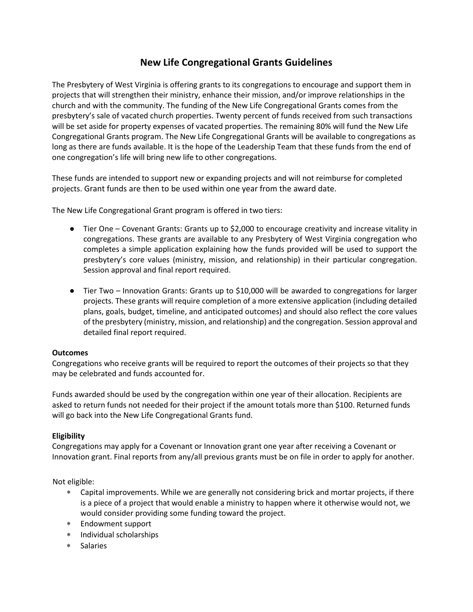### **New Life Congregational Grants Guidelines**

The Presbytery of West Virginia is offering grants to its congregations to encourage and support them in projects that will strengthen their ministry, enhance their mission, and/or improve relationships in the church and with the community. The funding of the New Life Congregational Grants comes from the presbytery's sale of vacated church properties. Twenty percent of funds received from such transactions will be set aside for property expenses of vacated properties. The remaining 80% will fund the New Life Congregational Grants program. The New Life Congregational Grants will be available to congregations as long as there are funds available. It is the hope of the Leadership Team that these funds from the end of one congregation's life will bring new life to other congregations.

These funds are intended to support new or expanding projects and will not reimburse for completed projects. Grant funds are then to be used within one year from the award date.

The New Life Congregational Grant program is offered in two tiers:

- Tier One Covenant Grants: Grants up to \$2,000 to encourage creativity and increase vitality in congregations. These grants are available to any Presbytery of West Virginia congregation who completes a simple application explaining how the funds provided will be used to support the presbytery's core values (ministry, mission, and relationship) in their particular congregation. Session approval and final report required.
- Tier Two Innovation Grants: Grants up to \$10,000 will be awarded to congregations for larger projects. These grants will require completion of a more extensive application (including detailed plans, goals, budget, timeline, and anticipated outcomes) and should also reflect the core values of the presbytery (ministry, mission, and relationship) and the congregation. Session approval and detailed final report required.

#### **Outcomes**

Congregations who receive grants will be required to report the outcomes of their projects so that they may be celebrated and funds accounted for.

Funds awarded should be used by the congregation within one year of their allocation. Recipients are asked to return funds not needed for their project if the amount totals more than \$100. Returned funds will go back into the New Life Congregational Grants fund.

### **Eligibility**

Congregations may apply for a Covenant or Innovation grant one year after receiving a Covenant or Innovation grant. Final reports from any/all previous grants must be on file in order to apply for another.

Not eligible:

- Capital improvements. While we are generally not considering brick and mortar projects, if there is a piece of a project that would enable a ministry to happen where it otherwise would not, we would consider providing some funding toward the project.
- ∗ Endowment support
- ∗ Individual scholarships
- Salaries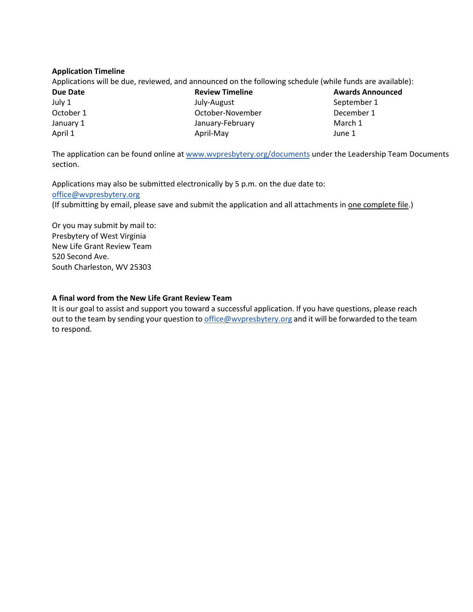#### **Application Timeline**

Applications will be due, reviewed, and announced on the following schedule (while funds are available):

| Due Date             | <b>Review Timeline</b> | <b>Awards Announced</b><br>September 1 |  |
|----------------------|------------------------|----------------------------------------|--|
| July 1               | July-August            |                                        |  |
| October 1            | October-November       | December 1                             |  |
| January 1            | January-February       | March 1                                |  |
| April 1<br>April-May |                        | June 1                                 |  |

The application can be found online at [www.wvpresbytery.org/](http://www.wvpresbytery.org/documents)documents under the Leadership Team Documents section.

Applications may also be submitted electronically by 5 p.m. on the due date to: [office@wvpresbytery.org](mailto:office@wvpresbytery.org)

(If submitting by email, please save and submit the application and all attachments in one complete file.)

Or you may submit by mail to: Presbytery of West Virginia New Life Grant Review Team 520 Second Ave. South Charleston, WV 25303

#### **A final word from the New Life Grant Review Team**

It is our goal to assist and support you toward a successful application. If you have questions, please reach out to the team by sending your question t[o office@wvpresbytery.org](mailto:office@wvpresbytery.org) and it will be forwarded to the team to respond.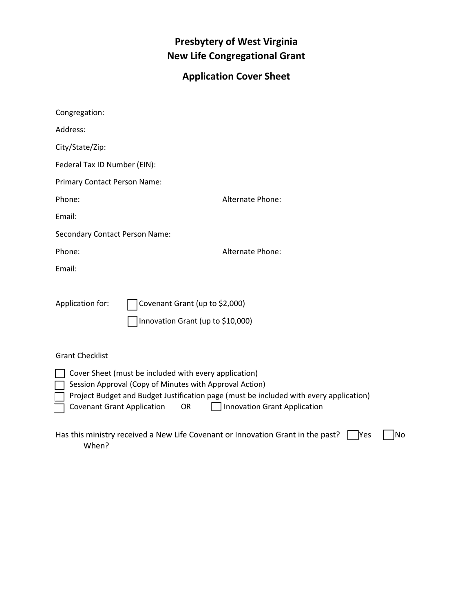## **Presbytery of West Virginia New Life Congregational Grant**

# **Application Cover Sheet**

| Congregation:                                                                                                                                                                                                                                                                                |                                                                     |  |  |  |  |
|----------------------------------------------------------------------------------------------------------------------------------------------------------------------------------------------------------------------------------------------------------------------------------------------|---------------------------------------------------------------------|--|--|--|--|
| Address:                                                                                                                                                                                                                                                                                     |                                                                     |  |  |  |  |
| City/State/Zip:                                                                                                                                                                                                                                                                              |                                                                     |  |  |  |  |
| Federal Tax ID Number (EIN):                                                                                                                                                                                                                                                                 |                                                                     |  |  |  |  |
| Primary Contact Person Name:                                                                                                                                                                                                                                                                 |                                                                     |  |  |  |  |
| Phone:                                                                                                                                                                                                                                                                                       | <b>Alternate Phone:</b>                                             |  |  |  |  |
| Email:                                                                                                                                                                                                                                                                                       |                                                                     |  |  |  |  |
| <b>Secondary Contact Person Name:</b>                                                                                                                                                                                                                                                        |                                                                     |  |  |  |  |
| Phone:                                                                                                                                                                                                                                                                                       | <b>Alternate Phone:</b>                                             |  |  |  |  |
| Email:                                                                                                                                                                                                                                                                                       |                                                                     |  |  |  |  |
| Application for:                                                                                                                                                                                                                                                                             | Covenant Grant (up to \$2,000)<br>Innovation Grant (up to \$10,000) |  |  |  |  |
| <b>Grant Checklist</b>                                                                                                                                                                                                                                                                       |                                                                     |  |  |  |  |
| Cover Sheet (must be included with every application)<br>Session Approval (Copy of Minutes with Approval Action)<br>Project Budget and Budget Justification page (must be included with every application)<br><b>Innovation Grant Application</b><br><b>Covenant Grant Application</b><br>OR |                                                                     |  |  |  |  |
| Has this ministry received a New Life Covenant or Innovation Grant in the past?<br>lNo<br><b>Nes</b><br>When?                                                                                                                                                                                |                                                                     |  |  |  |  |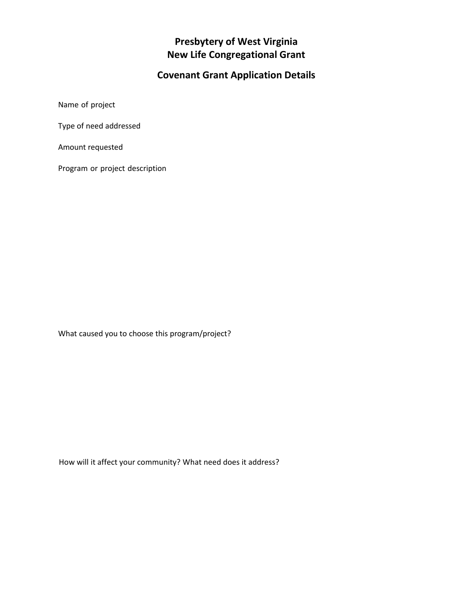## **Presbytery of West Virginia New Life Congregational Grant**

# **Covenant Grant Application Details**

Name of project

Type of need addressed

Amount requested

Program or project description

What caused you to choose this program/project?

How will it affect your community? What need does it address?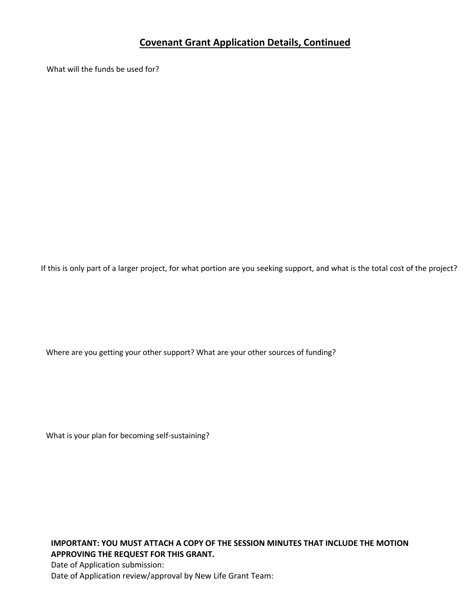### **Covenant Grant Application Details, Continued**

What will the funds be used for?

If this is only part of a larger project, for what portion are you seeking support, and what is the total cost of the project?

Where are you getting your other support? What are your other sources of funding?

What is your plan for becoming self-sustaining?

**IMPORTANT: YOU MUST ATTACH A COPY OF THE SESSION MINUTES THAT INCLUDE THE MOTION APPROVING THE REQUEST FOR THIS GRANT.**  Date of Application submission: Date of Application review/approval by New Life Grant Team: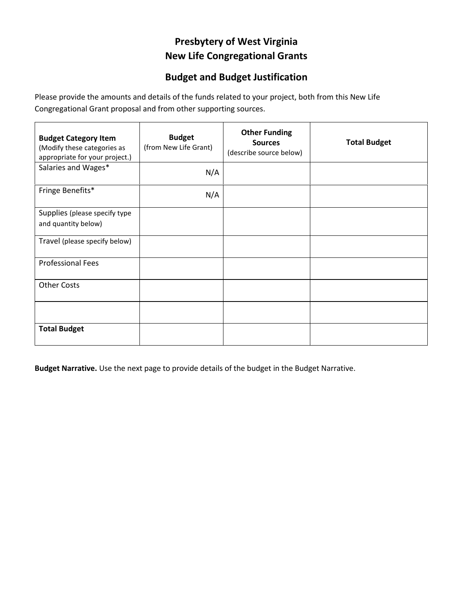## **Presbytery of West Virginia New Life Congregational Grants**

### **Budget and Budget Justification**

Please provide the amounts and details of the funds related to your project, both from this New Life Congregational Grant proposal and from other supporting sources.

| <b>Budget Category Item</b><br>(Modify these categories as<br>appropriate for your project.) | <b>Budget</b><br>(from New Life Grant) | <b>Other Funding</b><br><b>Sources</b><br>(describe source below) | <b>Total Budget</b> |
|----------------------------------------------------------------------------------------------|----------------------------------------|-------------------------------------------------------------------|---------------------|
| Salaries and Wages*                                                                          | N/A                                    |                                                                   |                     |
| Fringe Benefits*                                                                             | N/A                                    |                                                                   |                     |
| Supplies (please specify type<br>and quantity below)                                         |                                        |                                                                   |                     |
| Travel (please specify below)                                                                |                                        |                                                                   |                     |
| <b>Professional Fees</b>                                                                     |                                        |                                                                   |                     |
| <b>Other Costs</b>                                                                           |                                        |                                                                   |                     |
|                                                                                              |                                        |                                                                   |                     |
| <b>Total Budget</b>                                                                          |                                        |                                                                   |                     |

**Budget Narrative.** Use the next page to provide details of the budget in the Budget Narrative.